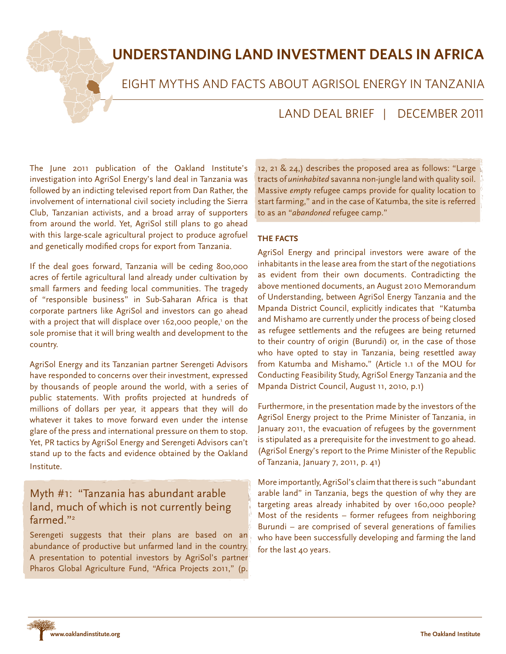# **UNDERSTANDING LAND INVESTMENT DEALS IN AFRICA**



### LAND DEAL BRIEF | DECEMBER 2011

The June 2011 publication of the Oakland Institute's investigation into AgriSol Energy's land deal in Tanzania was followed by an indicting televised report from Dan Rather, the involvement of international civil society including the Sierra Club, Tanzanian activists, and a broad array of supporters from around the world. Yet, AgriSol still plans to go ahead with this large-scale agricultural project to produce agrofuel and genetically modified crops for export from Tanzania.

If the deal goes forward, Tanzania will be ceding 800,000 acres of fertile agricultural land already under cultivation by small farmers and feeding local communities. The tragedy of "responsible business" in Sub-Saharan Africa is that corporate partners like AgriSol and investors can go ahead with a project that will displace over 162,000 people,1 on the sole promise that it will bring wealth and development to the country.

AgriSol Energy and its Tanzanian partner Serengeti Advisors have responded to concerns over their investment, expressed by thousands of people around the world, with a series of public statements. With profits projected at hundreds of millions of dollars per year, it appears that they will do whatever it takes to move forward even under the intense glare of the press and international pressure on them to stop. Yet, PR tactics by AgriSol Energy and Serengeti Advisors can't stand up to the facts and evidence obtained by the Oakland Institute.

### Myth #1: "Tanzania has abundant arable land, much of which is not currently being farmed."2

Serengeti suggests that their plans are based on an abundance of productive but unfarmed land in the country. A presentation to potential investors by AgriSol's partner Pharos Global Agriculture Fund, "Africa Projects 2011," (p.

12, 21 & 24,) describes the proposed area as follows: "Large tracts of *uninhabited* savanna non-jungle land with quality soil. Massive *empty* refugee camps provide for quality location to start farming," and in the case of Katumba, the site is referred to as an "*abandoned* refugee camp."

### **THE FACTS**

AgriSol Energy and principal investors were aware of the inhabitants in the lease area from the start of the negotiations as evident from their own documents. Contradicting the above mentioned documents, an August 2010 Memorandum of Understanding, between AgriSol Energy Tanzania and the Mpanda District Council, explicitly indicates that "Katumba and Mishamo are currently under the process of being closed as refugee settlements and the refugees are being returned to their country of origin (Burundi) or, in the case of those who have opted to stay in Tanzania, being resettled away from Katumba and Mishamo**.**" (Article 1.1 of the MOU for Conducting Feasibility Study, AgriSol Energy Tanzania and the Mpanda District Council, August 11, 2010, p.1)

Furthermore, in the presentation made by the investors of the AgriSol Energy project to the Prime Minister of Tanzania, in January 2011, the evacuation of refugees by the government is stipulated as a prerequisite for the investment to go ahead. (AgriSol Energy's report to the Prime Minister of the Republic of Tanzania, January 7, 2011, p. 41)

More importantly, AgriSol's claim that there is such "abundant arable land" in Tanzania, begs the question of why they are targeting areas already inhabited by over 160,000 people? Most of the residents – former refugees from neighboring Burundi – are comprised of several generations of families who have been successfully developing and farming the land for the last 40 years.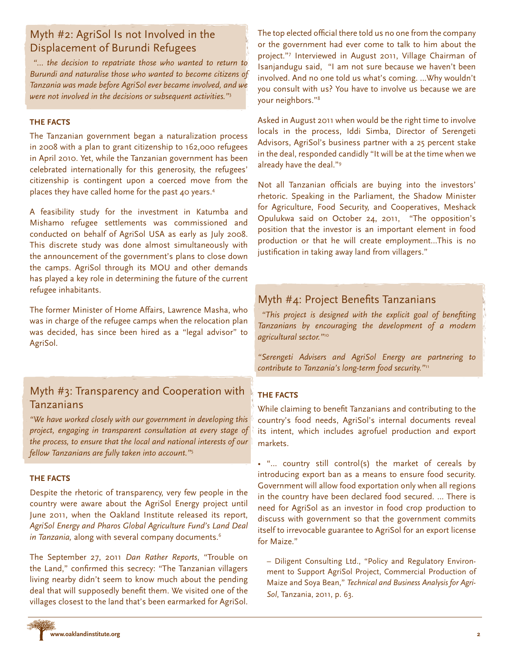### Myth #2: AgriSol Is not Involved in the Displacement of Burundi Refugees

 *"… the decision to repatriate those who wanted to return to Burundi and naturalise those who wanted to become citizens of Tanzania was made before AgriSol ever became involved, and we were not involved in the decisions or subsequent activities."*<sup>3</sup>

#### **THE FACTS**

The Tanzanian government began a naturalization process in 2008 with a plan to grant citizenship to 162,000 refugees in April 2010. Yet, while the Tanzanian government has been celebrated internationally for this generosity, the refugees' citizenship is contingent upon a coerced move from the places they have called home for the past 40 years.4

A feasibility study for the investment in Katumba and Mishamo refugee settlements was commissioned and conducted on behalf of AgriSol USA as early as July 2008. This discrete study was done almost simultaneously with the announcement of the government's plans to close down the camps. AgriSol through its MOU and other demands has played a key role in determining the future of the current refugee inhabitants.

The former Minister of Home Affairs, Lawrence Masha, who was in charge of the refugee camps when the relocation plan was decided, has since been hired as a "legal advisor" to AgriSol.

### Myth #3: Transparency and Cooperation with Tanzanians

*"We have worked closely with our government in developing this project, engaging in transparent consultation at every stage of the process, to ensure that the local and national interests of our fellow Tanzanians are fully taken into account."*<sup>5</sup>

#### **THE FACTS**

Despite the rhetoric of transparency, very few people in the country were aware about the AgriSol Energy project until June 2011, when the Oakland Institute released its report, *AgriSol Energy and Pharos Global Agriculture Fund's Land Deal*  in Tanzania, along with several company documents.<sup>6</sup>

The September 27, 2011 *Dan Rather Reports*, "Trouble on the Land," confirmed this secrecy: "The Tanzanian villagers living nearby didn't seem to know much about the pending deal that will supposedly benefit them. We visited one of the villages closest to the land that's been earmarked for AgriSol. The top elected official there told us no one from the company or the government had ever come to talk to him about the project."7 Interviewed in August 2011, Village Chairman of Isanjandugu said, "I am not sure because we haven't been involved. And no one told us what's coming. …Why wouldn't you consult with us? You have to involve us because we are your neighbors."8

Asked in August 2011 when would be the right time to involve locals in the process, Iddi Simba, Director of Serengeti Advisors, AgriSol's business partner with a 25 percent stake in the deal, responded candidly "It will be at the time when we already have the deal."9

Not all Tanzanian officials are buying into the investors' rhetoric. Speaking in the Parliament, the Shadow Minister for Agriculture, Food Security, and Cooperatives, Meshack Opulukwa said on October 24, 2011, "The opposition's position that the investor is an important element in food production or that he will create employment…This is no justification in taking away land from villagers."

### Myth #4: Project Benefits Tanzanians

 *"This project is designed with the explicit goal of benefiting Tanzanians by encouraging the development of a modern agricultural sector."*<sup>10</sup>

*"Serengeti Advisers and AgriSol Energy are partnering to contribute to Tanzania's long-term food security."*<sup>11</sup>

### **THE FACTS**

While claiming to benefit Tanzanians and contributing to the country's food needs, AgriSol's internal documents reveal its intent, which includes agrofuel production and export markets.

• "… country still control(s) the market of cereals by introducing export ban as a means to ensure food security. Government will allow food exportation only when all regions in the country have been declared food secured. … There is need for AgriSol as an investor in food crop production to discuss with government so that the government commits itself to irrevocable guarantee to AgriSol for an export license for Maize."

– Diligent Consulting Ltd., "Policy and Regulatory Environment to Support AgriSol Project, Commercial Production of Maize and Soya Bean," *Technical and Business Analysis for Agri-Sol*, Tanzania, 2011, p. 63.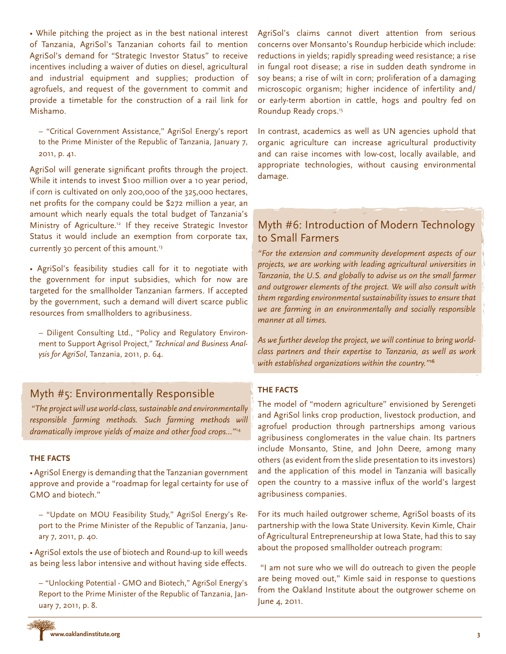• While pitching the project as in the best national interest of Tanzania, AgriSol's Tanzanian cohorts fail to mention AgriSol's demand for "Strategic Investor Status" to receive incentives including a waiver of duties on diesel, agricultural and industrial equipment and supplies; production of agrofuels, and request of the government to commit and provide a timetable for the construction of a rail link for Mishamo.

– "Critical Government Assistance," AgriSol Energy's report to the Prime Minister of the Republic of Tanzania, January 7, 2011, p. 41.

AgriSol will generate significant profits through the project. While it intends to invest \$100 million over a 10 year period, if corn is cultivated on only 200,000 of the 325,000 hectares, net profits for the company could be \$272 million a year, an amount which nearly equals the total budget of Tanzania's Ministry of Agriculture.<sup>12</sup> If they receive Strategic Investor Status it would include an exemption from corporate tax, currently 30 percent of this amount.<sup>13</sup>

• AgriSol's feasibility studies call for it to negotiate with the government for input subsidies, which for now are targeted for the smallholder Tanzanian farmers. If accepted by the government, such a demand will divert scarce public resources from smallholders to agribusiness.

– Diligent Consulting Ltd., "Policy and Regulatory Environment to Support Agrisol Project," *Technical and Business Analysis for AgriSol*, Tanzania, 2011, p. 64.

### Myth #5: Environmentally Responsible

 *"The project will use world-class, sustainable and environmentally responsible farming methods. Such farming methods will dramatically improve yields of maize and other food crops…"*<sup>14</sup>

#### **THE FACTS**

• AgriSol Energy is demanding that the Tanzanian government approve and provide a "roadmap for legal certainty for use of GMO and biotech."

– "Update on MOU Feasibility Study," AgriSol Energy's Report to the Prime Minister of the Republic of Tanzania, January 7, 2011, p. 40.

• AgriSol extols the use of biotech and Round-up to kill weeds as being less labor intensive and without having side effects.

– "Unlocking Potential - GMO and Biotech," AgriSol Energy's Report to the Prime Minister of the Republic of Tanzania, January 7, 2011, p. 8.

AgriSol's claims cannot divert attention from serious concerns over Monsanto's Roundup herbicide which include: reductions in yields; rapidly spreading weed resistance; a rise in fungal root disease; a rise in sudden death syndrome in soy beans; a rise of wilt in corn; proliferation of a damaging microscopic organism; higher incidence of infertility and/ or early-term abortion in cattle, hogs and poultry fed on Roundup Ready crops.15

In contrast, academics as well as UN agencies uphold that organic agriculture can increase agricultural productivity and can raise incomes with low-cost, locally available, and appropriate technologies, without causing environmental damage.

## Myth #6: Introduction of Modern Technology to Small Farmers

*"For the extension and community development aspects of our projects, we are working with leading agricultural universities in Tanzania, the U.S. and globally to advise us on the small farmer and outgrower elements of the project. We will also consult with them regarding environmental sustainability issues to ensure that we are farming in an environmentally and socially responsible manner at all times.*

*As we further develop the project, we will continue to bring worldclass partners and their expertise to Tanzania, as well as work with established organizations within the country."***<sup>16</sup>**

#### **THE FACTS**

The model of "modern agriculture" envisioned by Serengeti and AgriSol links crop production, livestock production, and agrofuel production through partnerships among various agribusiness conglomerates in the value chain. Its partners include Monsanto, Stine, and John Deere, among many others (as evident from the slide presentation to its investors) and the application of this model in Tanzania will basically open the country to a massive influx of the world's largest agribusiness companies.

For its much hailed outgrower scheme, AgriSol boasts of its partnership with the Iowa State University. Kevin Kimle, Chair of Agricultural Entrepreneurship at Iowa State, had this to say about the proposed smallholder outreach program:

 "I am not sure who we will do outreach to given the people are being moved out," Kimle said in response to questions from the Oakland Institute about the outgrower scheme on June 4, 2011.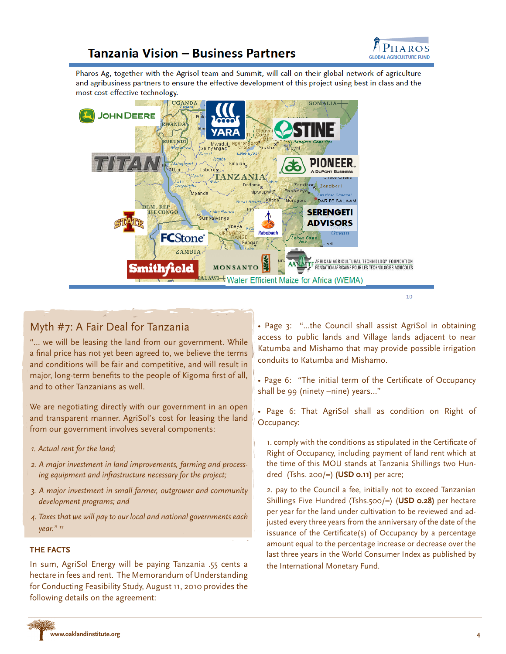

# Tanzania Vision - Business Partners

Pharos Ag, together with the Agrisol team and Summit, will call on their global network of agriculture and agribusiness partners to ensure the effective development of this project using best in class and the most cost-effective technology.



# Myth #7: A Fair Deal for Tanzania

"… we will be leasing the land from our government. While a final price has not yet been agreed to, we believe the terms and conditions will be fair and competitive, and will result in major, long-term benefits to the people of Kigoma first of all, and to other Tanzanians as well.

We are negotiating directly with our government in an open and transparent manner. AgriSol's cost for leasing the land from our government involves several components:

- *1. Actual rent for the land;*
- *2. A major investment in land improvements, farming and processing equipment and infrastructure necessary for the project;*
- *3. A major investment in small farmer, outgrower and community development programs; and*
- *4. Taxes that we will pay to our local and national governments each year."* <sup>17</sup>

#### **THE FACTS**

In sum, AgriSol Energy will be paying Tanzania .55 cents a hectare in fees and rent. The Memorandum of Understanding for Conducting Feasibility Study, August 11, 2010 provides the following details on the agreement:

• Page 3: "…the Council shall assist AgriSol in obtaining access to public lands and Village lands adjacent to near Katumba and Mishamo that may provide possible irrigation conduits to Katumba and Mishamo.

• Page 6: "The initial term of the Certificate of Occupancy shall be 99 (ninety –nine) years…"

• Page 6: That AgriSol shall as condition on Right of Occupancy:

1. comply with the conditions as stipulated in the Certificate of Right of Occupancy, including payment of land rent which at the time of this MOU stands at Tanzania Shillings two Hundred (Tshs. 200/=) **(USD 0.11)** per acre;

2. pay to the Council a fee, initially not to exceed Tanzanian Shillings Five Hundred (Tshs.500/=) (**USD 0.28)** per hectare per year for the land under cultivation to be reviewed and adjusted every three years from the anniversary of the date of the issuance of the Certificate(s) of Occupancy by a percentage amount equal to the percentage increase or decrease over the last three years in the World Consumer Index as published by the International Monetary Fund.

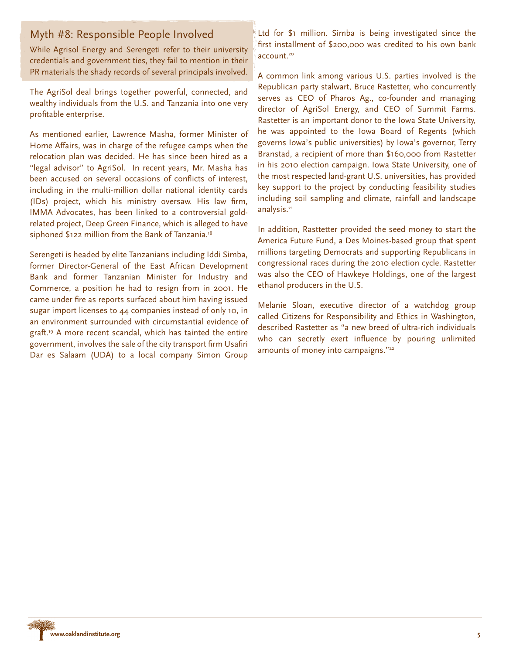# Myth #8: Responsible People Involved

While Agrisol Energy and Serengeti refer to their university credentials and government ties, they fail to mention in their PR materials the shady records of several principals involved.

The AgriSol deal brings together powerful, connected, and wealthy individuals from the U.S. and Tanzania into one very profitable enterprise.

As mentioned earlier, Lawrence Masha, former Minister of Home Affairs, was in charge of the refugee camps when the relocation plan was decided. He has since been hired as a "legal advisor" to AgriSol. In recent years, Mr. Masha has been accused on several occasions of conflicts of interest, including in the multi-million dollar national identity cards (IDs) project, which his ministry oversaw. His law firm, IMMA Advocates, has been linked to a controversial goldrelated project, Deep Green Finance, which is alleged to have siphoned \$122 million from the Bank of Tanzania.<sup>18</sup>

Serengeti is headed by elite Tanzanians including Iddi Simba, former Director-General of the East African Development Bank and former Tanzanian Minister for Industry and Commerce, a position he had to resign from in 2001. He came under fire as reports surfaced about him having issued sugar import licenses to 44 companies instead of only 10, in an environment surrounded with circumstantial evidence of graft.<sup>19</sup> A more recent scandal, which has tainted the entire government, involves the sale of the city transport firm Usafiri Dar es Salaam (UDA) to a local company Simon Group

Ltd for \$1 million. Simba is being investigated since the first installment of \$200,000 was credited to his own bank account.<sup>20</sup>

A common link among various U.S. parties involved is the Republican party stalwart, Bruce Rastetter, who concurrently serves as CEO of Pharos Ag., co-founder and managing director of AgriSol Energy, and CEO of Summit Farms. Rastetter is an important donor to the Iowa State University, he was appointed to the Iowa Board of Regents (which governs Iowa's public universities) by Iowa's governor, Terry Branstad, a recipient of more than \$160,000 from Rastetter in his 2010 election campaign. Iowa State University, one of the most respected land-grant U.S. universities, has provided key support to the project by conducting feasibility studies including soil sampling and climate, rainfall and landscape analysis.<sup>21</sup>

In addition, Rasttetter provided the seed money to start the America Future Fund, a Des Moines-based group that spent millions targeting Democrats and supporting Republicans in congressional races during the 2010 election cycle. Rastetter was also the CEO of Hawkeye Holdings, one of the largest ethanol producers in the U.S.

Melanie Sloan, executive director of a watchdog group called Citizens for Responsibility and Ethics in Washington, described Rastetter as "a new breed of ultra-rich individuals who can secretly exert influence by pouring unlimited amounts of money into campaigns."<sup>22</sup>